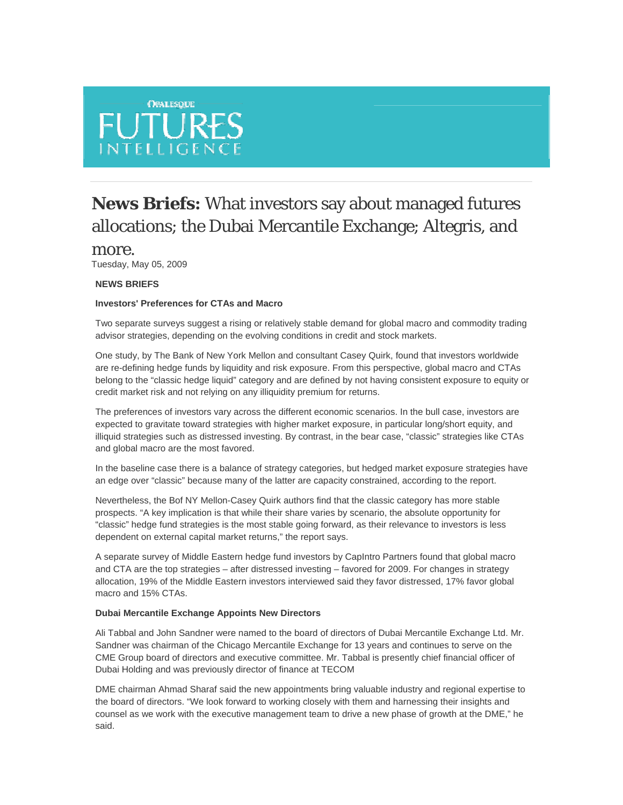

# **News Briefs:** What investors say about managed futures allocations; the Dubai Mercantile Exchange; Altegris, and

# more.

Tuesday, May 05, 2009

## **NEWS BRIEFS**

### **Investors' Preferences for CTAs and Macro**

Two separate surveys suggest a rising or relatively stable demand for global macro and commodity trading advisor strategies, depending on the evolving conditions in credit and stock markets.

One study, by The Bank of New York Mellon and consultant Casey Quirk, found that investors worldwide are re-defining hedge funds by liquidity and risk exposure. From this perspective, global macro and CTAs belong to the "classic hedge liquid" category and are defined by not having consistent exposure to equity or credit market risk and not relying on any illiquidity premium for returns.

The preferences of investors vary across the different economic scenarios. In the bull case, investors are expected to gravitate toward strategies with higher market exposure, in particular long/short equity, and illiquid strategies such as distressed investing. By contrast, in the bear case, "classic" strategies like CTAs and global macro are the most favored.

In the baseline case there is a balance of strategy categories, but hedged market exposure strategies have an edge over "classic" because many of the latter are capacity constrained, according to the report.

Nevertheless, the Bof NY Mellon-Casey Quirk authors find that the classic category has more stable prospects. "A key implication is that while their share varies by scenario, the absolute opportunity for "classic" hedge fund strategies is the most stable going forward, as their relevance to investors is less dependent on external capital market returns," the report says.

A separate survey of Middle Eastern hedge fund investors by CapIntro Partners found that global macro and CTA are the top strategies – after distressed investing – favored for 2009. For changes in strategy allocation, 19% of the Middle Eastern investors interviewed said they favor distressed, 17% favor global macro and 15% CTAs.

### **Dubai Mercantile Exchange Appoints New Directors**

Ali Tabbal and John Sandner were named to the board of directors of Dubai Mercantile Exchange Ltd. Mr. Sandner was chairman of the Chicago Mercantile Exchange for 13 years and continues to serve on the CME Group board of directors and executive committee. Mr. Tabbal is presently chief financial officer of Dubai Holding and was previously director of finance at TECOM

DME chairman Ahmad Sharaf said the new appointments bring valuable industry and regional expertise to the board of directors. "We look forward to working closely with them and harnessing their insights and counsel as we work with the executive management team to drive a new phase of growth at the DME," he said.